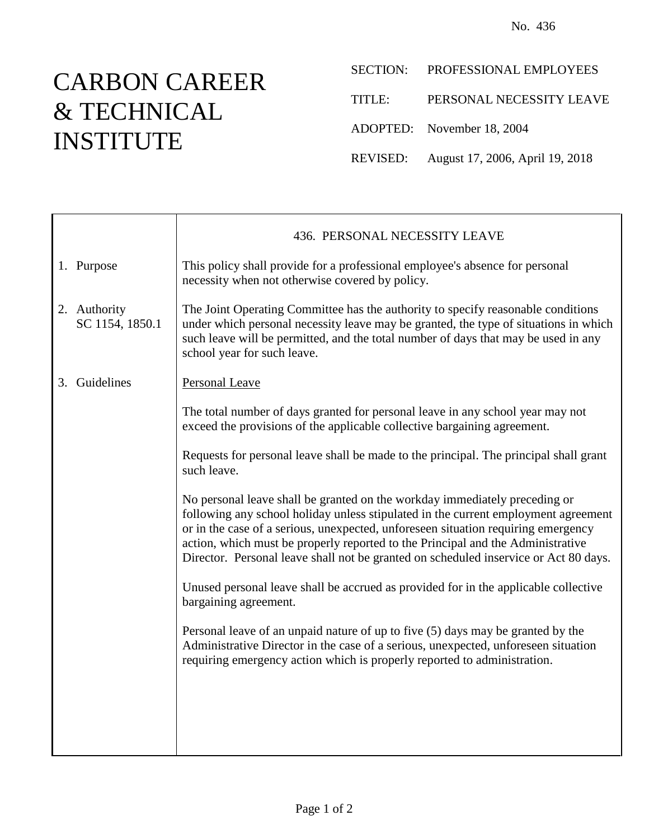## CARBON CAREER & TECHNICAL INSTITUTE

|        | SECTION: PROFESSIONAL EMPLOYEES          |
|--------|------------------------------------------|
| TITLE: | PERSONAL NECESSITY LEAVE                 |
|        | ADOPTED: November 18, 2004               |
|        | REVISED: August 17, 2006, April 19, 2018 |

|    |                                 | 436. PERSONAL NECESSITY LEAVE                                                                                                                                                                                                                                                                                                                                                                                                    |
|----|---------------------------------|----------------------------------------------------------------------------------------------------------------------------------------------------------------------------------------------------------------------------------------------------------------------------------------------------------------------------------------------------------------------------------------------------------------------------------|
|    | 1. Purpose                      | This policy shall provide for a professional employee's absence for personal<br>necessity when not otherwise covered by policy.                                                                                                                                                                                                                                                                                                  |
|    | 2. Authority<br>SC 1154, 1850.1 | The Joint Operating Committee has the authority to specify reasonable conditions<br>under which personal necessity leave may be granted, the type of situations in which<br>such leave will be permitted, and the total number of days that may be used in any<br>school year for such leave.                                                                                                                                    |
| 3. | Guidelines                      | Personal Leave                                                                                                                                                                                                                                                                                                                                                                                                                   |
|    |                                 | The total number of days granted for personal leave in any school year may not<br>exceed the provisions of the applicable collective bargaining agreement.                                                                                                                                                                                                                                                                       |
|    |                                 | Requests for personal leave shall be made to the principal. The principal shall grant<br>such leave.                                                                                                                                                                                                                                                                                                                             |
|    |                                 | No personal leave shall be granted on the workday immediately preceding or<br>following any school holiday unless stipulated in the current employment agreement<br>or in the case of a serious, unexpected, unforeseen situation requiring emergency<br>action, which must be properly reported to the Principal and the Administrative<br>Director. Personal leave shall not be granted on scheduled inservice or Act 80 days. |
|    |                                 | Unused personal leave shall be accrued as provided for in the applicable collective<br>bargaining agreement.                                                                                                                                                                                                                                                                                                                     |
|    |                                 | Personal leave of an unpaid nature of up to five (5) days may be granted by the<br>Administrative Director in the case of a serious, unexpected, unforeseen situation<br>requiring emergency action which is properly reported to administration.                                                                                                                                                                                |
|    |                                 |                                                                                                                                                                                                                                                                                                                                                                                                                                  |
|    |                                 |                                                                                                                                                                                                                                                                                                                                                                                                                                  |
|    |                                 |                                                                                                                                                                                                                                                                                                                                                                                                                                  |